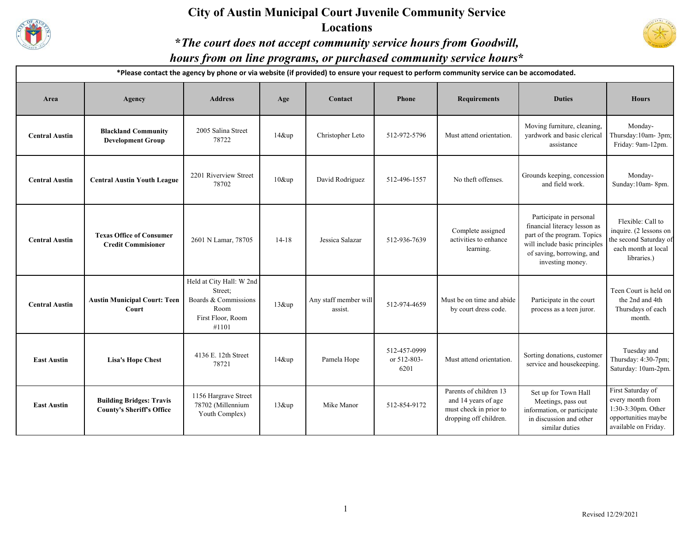

### **City of Austin Municipal Court Juvenile Community Service Locations**



**\****The court does not accept community service hours from Goodwill,* 

## *hours from on line programs, or purchased community service hours***\***

**\*Please contact the agency by phone or via website (if provided) to ensure your request to perform community service can be accomodated.**

| Area                  | Agency                                                              | <b>Address</b>                                                                                    | Age       | Contact                          | <b>Phone</b>                        | <b>Requirements</b>                                                                               | <b>Duties</b>                                                                                                                                                            | <b>Hours</b>                                                                                                |
|-----------------------|---------------------------------------------------------------------|---------------------------------------------------------------------------------------------------|-----------|----------------------------------|-------------------------------------|---------------------------------------------------------------------------------------------------|--------------------------------------------------------------------------------------------------------------------------------------------------------------------------|-------------------------------------------------------------------------------------------------------------|
| <b>Central Austin</b> | <b>Blackland Community</b><br><b>Development Group</b>              | 2005 Salina Street<br>78722                                                                       | $14$ &up  | Christopher Leto                 | 512-972-5796                        | Must attend orientation.                                                                          | Moving furniture, cleaning,<br>vardwork and basic clerical<br>assistance                                                                                                 | Monday-<br>Thursday:10am-3pm;<br>Friday: 9am-12pm.                                                          |
| <b>Central Austin</b> | <b>Central Austin Youth League</b>                                  | 2201 Riverview Street<br>78702                                                                    | $10\&$ up | David Rodriguez                  | 512-496-1557                        | No theft offenses.                                                                                | Grounds keeping, concession<br>and field work.                                                                                                                           | Monday-<br>Sunday:10am-8pm.                                                                                 |
| <b>Central Austin</b> | <b>Texas Office of Consumer</b><br><b>Credit Commisioner</b>        | 2601 N Lamar, 78705                                                                               | $14 - 18$ | Jessica Salazar                  | 512-936-7639                        | Complete assigned<br>activities to enhance<br>learning.                                           | Participate in personal<br>financial literacy lesson as<br>part of the program. Topics<br>will include basic principles<br>of saving, borrowing, and<br>investing money. | Flexible: Call to<br>inquire. (2 lessons on<br>the second Saturday of<br>each month at local<br>libraries.) |
| <b>Central Austin</b> | <b>Austin Municipal Court: Teen</b><br>Court                        | Held at City Hall: W 2nd<br>Street;<br>Boards & Commissions<br>Room<br>First Floor, Room<br>#1101 | $13$ &up  | Any staff member will<br>assist. | 512-974-4659                        | Must be on time and abide<br>by court dress code.                                                 | Participate in the court<br>process as a teen juror.                                                                                                                     | Teen Court is held on<br>the 2nd and 4th<br>Thursdays of each<br>month.                                     |
| <b>East Austin</b>    | <b>Lisa's Hope Chest</b>                                            | 4136 E. 12th Street<br>78721                                                                      | $14\&$ up | Pamela Hope                      | 512-457-0999<br>or 512-803-<br>6201 | Must attend orientation.                                                                          | Sorting donations, customer<br>service and housekeeping.                                                                                                                 | Tuesday and<br>Thursday: 4:30-7pm;<br>Saturday: 10am-2pm.                                                   |
| <b>East Austin</b>    | <b>Building Bridges: Travis</b><br><b>County's Sheriff's Office</b> | 1156 Hargrave Street<br>78702 (Millennium<br>Youth Complex)                                       | $13$ &up  | Mike Manor                       | 512-854-9172                        | Parents of children 13<br>and 14 years of age<br>must check in prior to<br>dropping off children. | Set up for Town Hall<br>Meetings, pass out<br>information, or participate<br>in discussion and other<br>similar duties                                                   | First Saturday of<br>every month from<br>1:30-3:30pm. Other<br>opportunities maybe<br>available on Friday.  |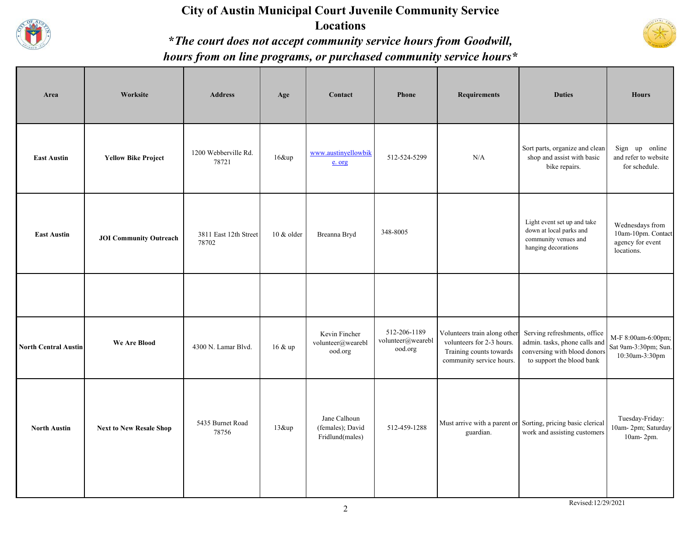

### **City of Austin Municipal Court Juvenile Community Service Locations \****The court does not accept community service hours from Goodwill, hours from on line programs, or purchased community service hours\**



| Area                        | Worksite                       | <b>Address</b>                 | Age        | Contact                                             | <b>Phone</b>                                 | <b>Requirements</b>                                                                                              | <b>Duties</b>                                                                                                              | <b>Hours</b>                                                            |
|-----------------------------|--------------------------------|--------------------------------|------------|-----------------------------------------------------|----------------------------------------------|------------------------------------------------------------------------------------------------------------------|----------------------------------------------------------------------------------------------------------------------------|-------------------------------------------------------------------------|
| <b>East Austin</b>          | <b>Yellow Bike Project</b>     | 1200 Webberville Rd.<br>78721  | 16&up      | www.austinyellowbik<br>e. org                       | 512-524-5299                                 | N/A                                                                                                              | Sort parts, organize and clean<br>shop and assist with basic<br>bike repairs.                                              | Sign up online<br>and refer to website<br>for schedule.                 |
| <b>East Austin</b>          | <b>JOI Community Outreach</b>  | 3811 East 12th Street<br>78702 | 10 & older | Breanna Bryd                                        | 348-8005                                     |                                                                                                                  | Light event set up and take<br>down at local parks and<br>community venues and<br>hanging decorations                      | Wednesdays from<br>10am-10pm. Contact<br>agency for event<br>locations. |
|                             |                                |                                |            |                                                     |                                              |                                                                                                                  |                                                                                                                            |                                                                         |
| <b>North Central Austin</b> | <b>We Are Blood</b>            | 4300 N. Lamar Blvd.            | 16 & up    | Kevin Fincher<br>volunteer@wearebl<br>ood.org       | 512-206-1189<br>volunteer@wearebl<br>ood.org | Volunteers train along other<br>volunteers for 2-3 hours.<br>Training counts towards<br>community service hours. | Serving refreshments, office<br>admin. tasks, phone calls and<br>conversing with blood donors<br>to support the blood bank | M-F 8:00am-6:00pm;<br>Sat 9am-3:30pm; Sun.<br>10:30am-3:30pm            |
| <b>North Austin</b>         | <b>Next to New Resale Shop</b> | 5435 Burnet Road<br>78756      | $13\&$ up  | Jane Calhoun<br>(females); David<br>Fridlund(males) | 512-459-1288                                 | guardian.                                                                                                        | Must arrive with a parent or Sorting, pricing basic clerical<br>work and assisting customers                               | Tuesday-Friday:<br>10am-2pm; Saturday<br>10am-2pm.                      |

Revised:12/29/2021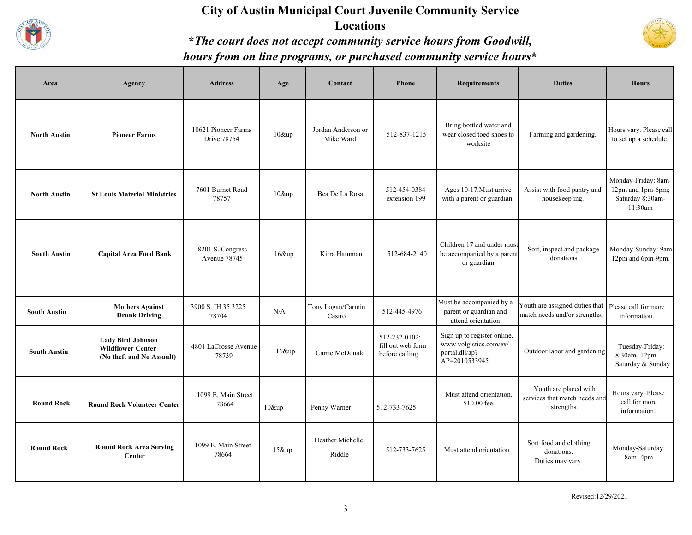

#### **City of Austin Municipal Court Juvenile Community Service Locations**



## **\****The court does not accept community service hours from Goodwill, hours from on line programs, or purchased community service hours***\***

| Area                | Agency                                                                            | <b>Address</b>                            | Age      | Contact                         | <b>Phone</b>                                         | <b>Requirements</b>                                                                      | <b>Duties</b>                                                        | <b>Hours</b>                                                            |
|---------------------|-----------------------------------------------------------------------------------|-------------------------------------------|----------|---------------------------------|------------------------------------------------------|------------------------------------------------------------------------------------------|----------------------------------------------------------------------|-------------------------------------------------------------------------|
| <b>North Austin</b> | <b>Pioneer Farms</b>                                                              | 10621 Pioneer Farms<br><b>Drive 78754</b> | $10$ &up | Jordan Anderson or<br>Mike Ward | 512-837-1215                                         | Bring bottled water and<br>wear closed toed shoes to<br>worksite                         | Farming and gardening.                                               | Hours vary. Please call<br>to set up a schedule.                        |
| <b>North Austin</b> | <b>St Louis Material Ministries</b>                                               | 7601 Burnet Road<br>78757                 | $10$ &up | Bea De La Rosa                  | 512-454-0384<br>extension 199                        | Ages 10-17. Must arrive<br>with a parent or guardian.                                    | Assist with food pantry and<br>housekeep ing.                        | Monday-Friday: 8am-<br>12pm and 1pm-6pm;<br>Saturday 8:30am-<br>11:30am |
| <b>South Austin</b> | <b>Capital Area Food Bank</b>                                                     | 8201 S. Congress<br>Avenue 78745          | $16$ &up | Kirra Hamman                    | 512-684-2140                                         | Children 17 and under must<br>be accompanied by a parent<br>or guardian.                 | Sort, inspect and package<br>donations                               | Monday-Sunday: 9am<br>12pm and 6pm-9pm.                                 |
| <b>South Austin</b> | <b>Mothers Against</b><br><b>Drunk Driving</b>                                    | 3900 S. IH 35 3225<br>78704               | N/A      | Tony Logan/Carmin<br>Castro     | 512-445-4976                                         | Must be accompanied by a<br>parent or guardian and<br>attend orientation                 | Youth are assigned duties that<br>match needs and/or strengths.      | Please call for more<br>information.                                    |
| <b>South Austin</b> | <b>Lady Bird Johnson</b><br><b>Wildflower Center</b><br>(No theft and No Assault) | 4801 LaCrosse Avenue<br>78739             | $16$ &up | Carrie McDonald                 | 512-232-0102;<br>fill out web form<br>before calling | Sign up to register online.<br>www.volgistics.com/ex/<br>portal.dll/ap?<br>AP=2010533945 | Outdoor labor and gardening.                                         | Tuesday-Friday:<br>8:30am-12pm<br>Saturday & Sunday                     |
| <b>Round Rock</b>   | <b>Round Rock Volunteer Center</b>                                                | 1099 E. Main Street<br>78664              | 10&up    | Penny Warner                    | 512-733-7625                                         | Must attend orientation.<br>\$10.00 fee.                                                 | Youth are placed with<br>services that match needs and<br>strengths. | Hours vary. Please<br>call for more<br>information.                     |
| <b>Round Rock</b>   | <b>Round Rock Area Serving</b><br>Center                                          | 1099 E. Main Street<br>78664              | 15&up    | Heather Michelle<br>Riddle      | 512-733-7625                                         | Must attend orientation.                                                                 | Sort food and clothing<br>donations.<br>Duties may vary.             | Monday-Saturday:<br>8am-4pm                                             |